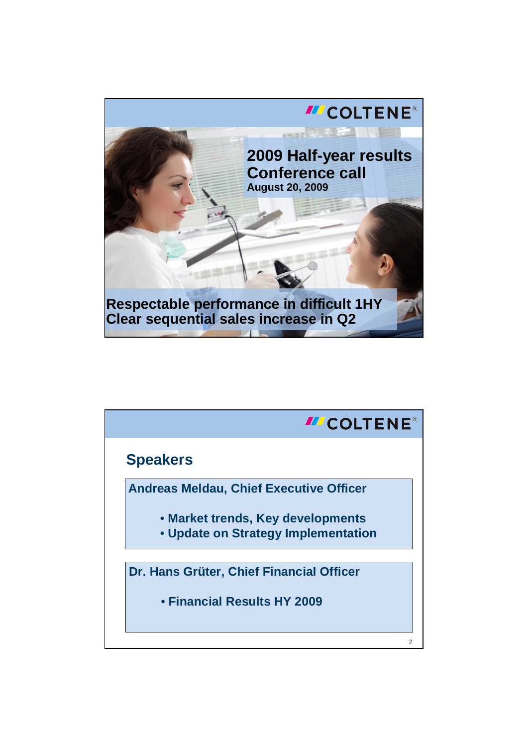

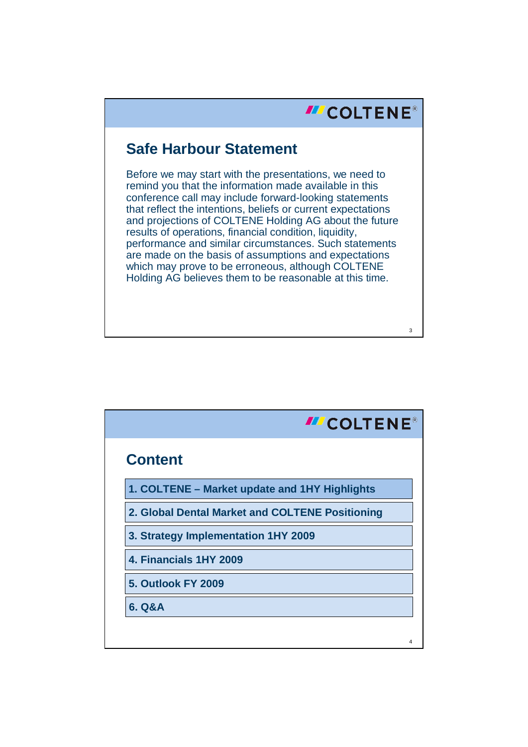## **III** COLTENE®

3

## **Safe Harbour Statement**

Before we may start with the presentations, we need to remind you that the information made available in this conference call may include forward-looking statements that reflect the intentions, beliefs or current expectations and projections of COLTENE Holding AG about the future results of operations, financial condition, liquidity, performance and similar circumstances. Such statements are made on the basis of assumptions and expectations which may prove to be erroneous, although COLTENE Holding AG believes them to be reasonable at this time.

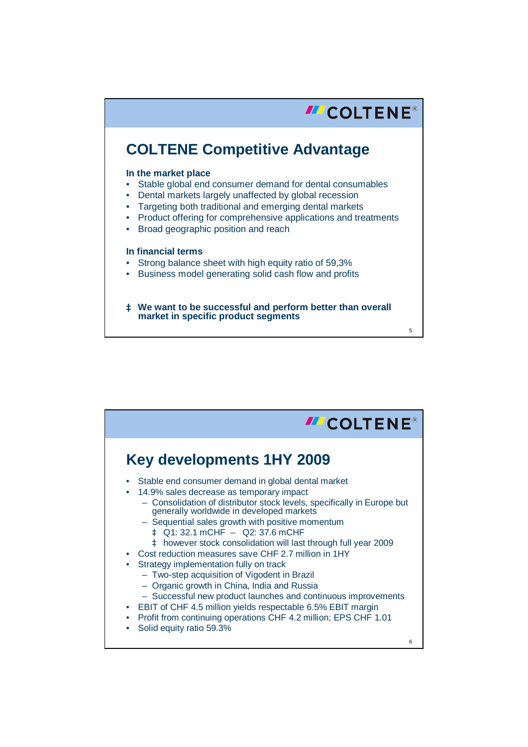

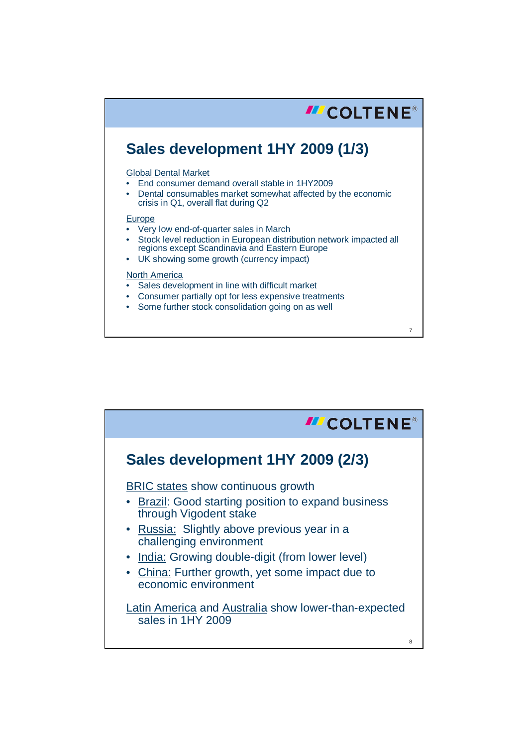

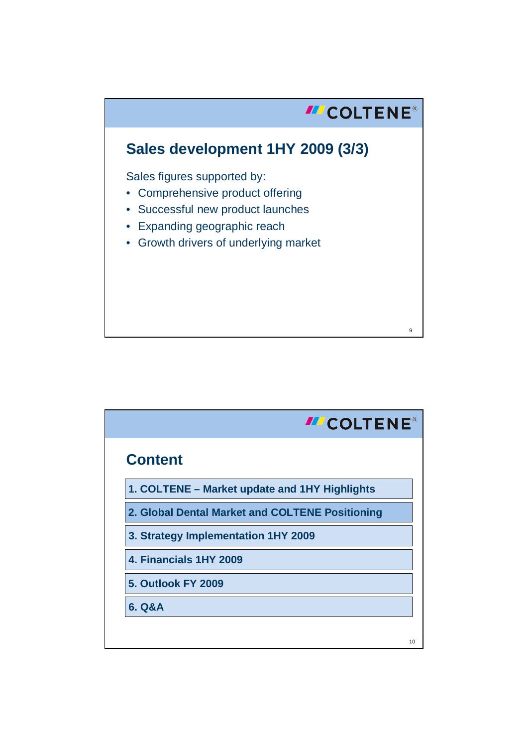

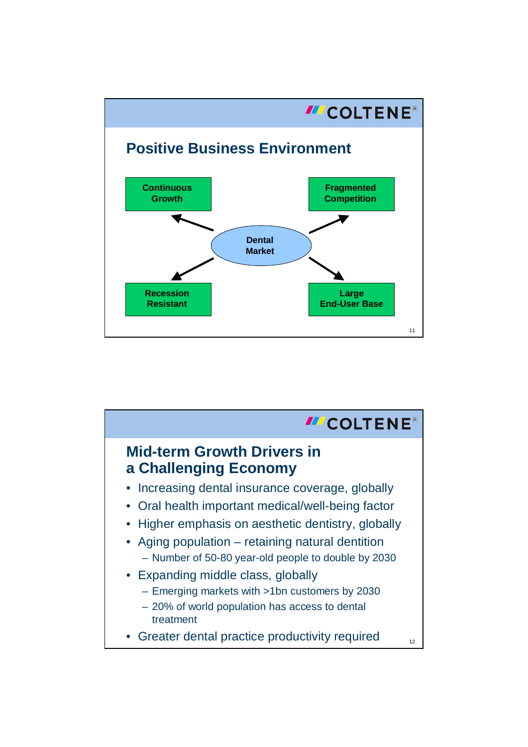

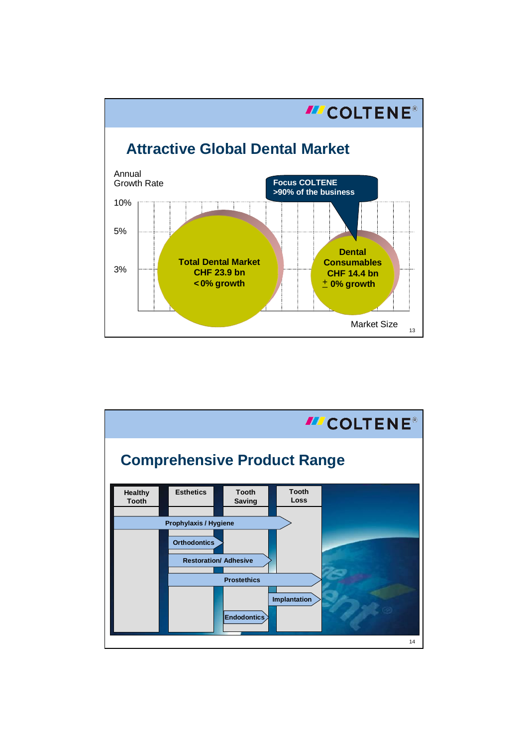

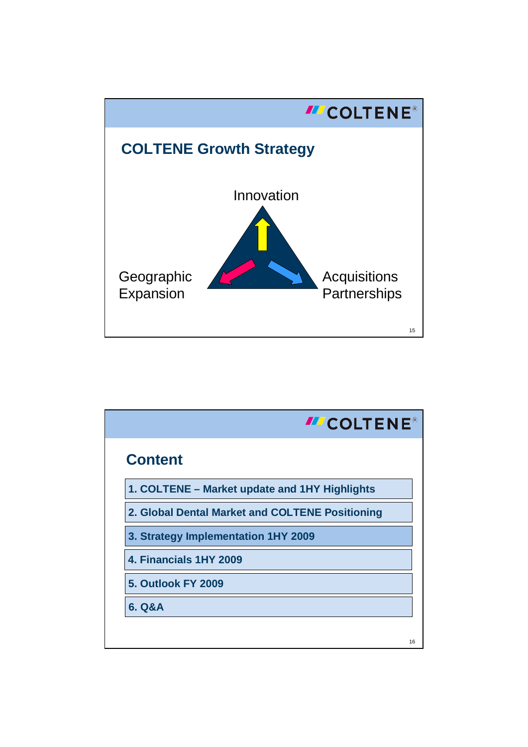

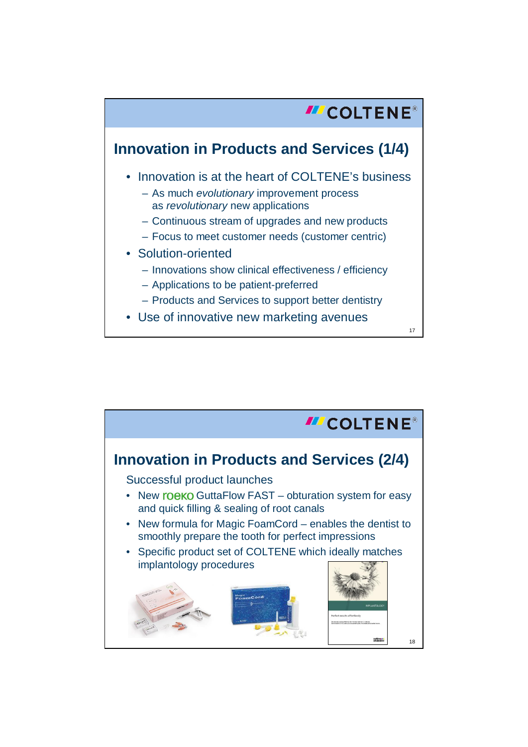

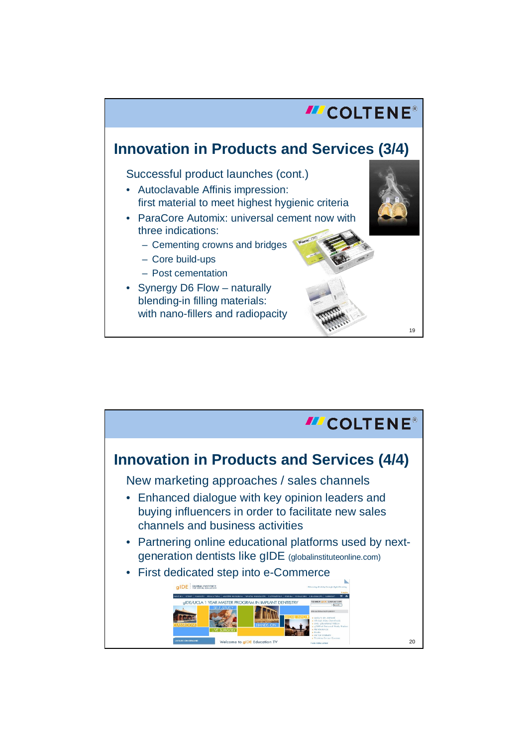

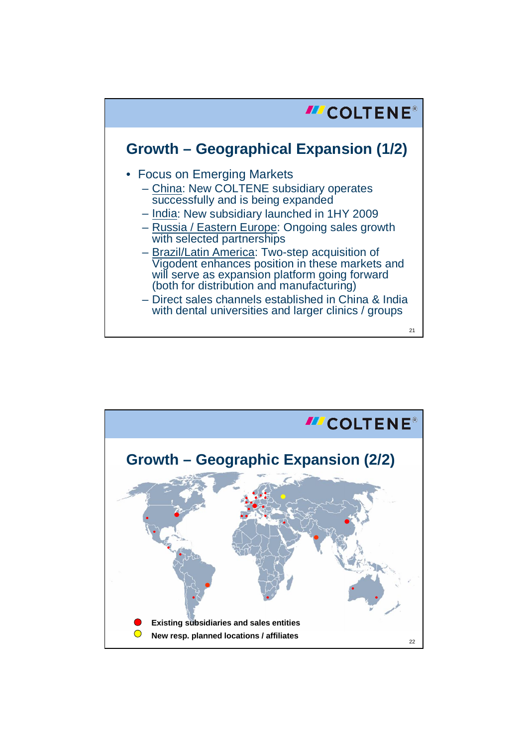

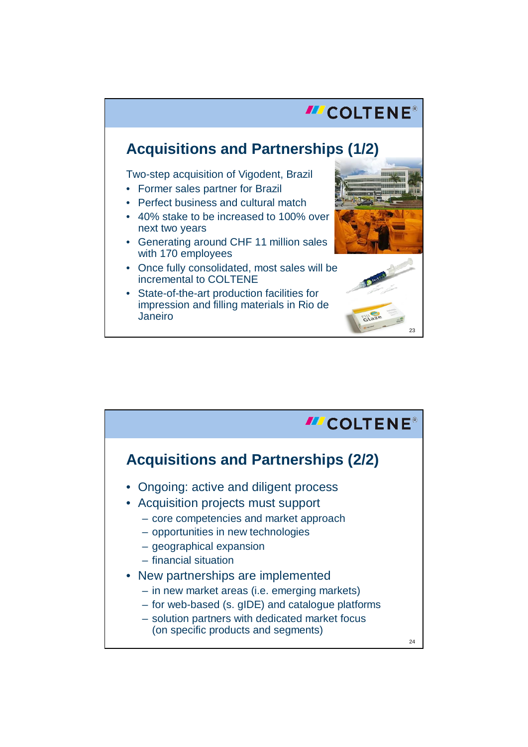## **III** COLTENE® **Acquisitions and Partnerships (1/2)** Two-step acquisition of Vigodent, Brazil • Former sales partner for Brazil • Perfect business and cultural match • 40% stake to be increased to 100% over next two years • Generating around CHF 11 million sales with 170 employees • Once fully consolidated, most sales will be incremental to COLTENE • State-of-the-art production facilities for impression and filling materials in Rio de Janeiro

23

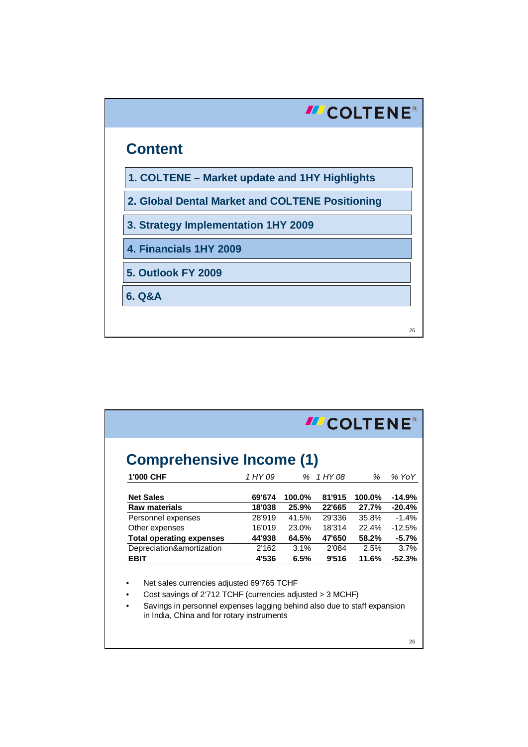

| <b>Comprehensive Income (1)</b> |         |        |         |        |          |
|---------------------------------|---------|--------|---------|--------|----------|
| 1'000 CHF                       | 1 HY 09 | ℅      | 1 HY 08 | %      | % YoY    |
| <b>Net Sales</b>                | 69'674  | 100.0% | 81'915  | 100.0% | $-14.9%$ |
| <b>Raw materials</b>            | 18'038  | 25.9%  | 22'665  | 27.7%  | $-20.4%$ |
| Personnel expenses              | 28'919  | 41.5%  | 29'336  | 35.8%  | $-1.4%$  |
| Other expenses                  | 16'019  | 23.0%  | 18'314  | 22.4%  | $-12.5%$ |
| <b>Total operating expenses</b> | 44'938  | 64.5%  | 47'650  | 58.2%  | $-5.7%$  |
| Depreciation&amortization       | 2'162   | 3.1%   | 2'084   | 2.5%   | 3.7%     |
| <b>EBIT</b>                     | 4'536   | 6.5%   | 9'516   | 11.6%  | $-52.3%$ |

26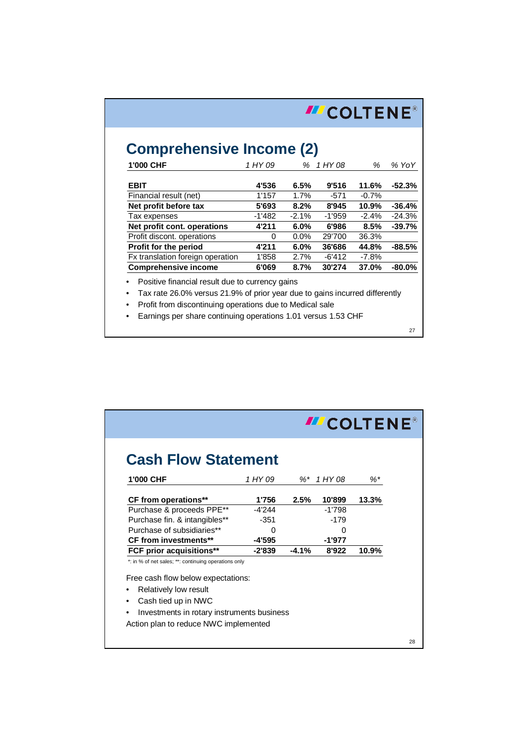| <b>Comprehensive Income (2)</b><br>1'000 CHF | 1 HY 09 | %       | 1 HY 08  | %        | % YoY     |
|----------------------------------------------|---------|---------|----------|----------|-----------|
|                                              |         |         |          |          |           |
| <b>EBIT</b>                                  | 4'536   | 6.5%    | 9'516    | 11.6%    | $-52.3%$  |
| Financial result (net)                       | 1'157   | 1.7%    | $-571$   | $-0.7%$  |           |
| Net profit before tax                        | 5'693   | 8.2%    | 8'945    | 10.9%    | $-36.4%$  |
| Tax expenses                                 | -1'482  | $-2.1%$ | -1'959   | $-2.4\%$ | $-24.3%$  |
| Net profit cont. operations                  | 4'211   | $6.0\%$ | 6'986    | 8.5%     | $-39.7%$  |
| Profit discont. operations                   | 0       | $0.0\%$ | 29'700   | 36.3%    |           |
| <b>Profit for the period</b>                 | 4'211   | $6.0\%$ | 36'686   | 44.8%    | $-88.5%$  |
| Fx translation foreign operation             | 1'858   | 2.7%    | $-6'412$ | $-7.8\%$ |           |
| <b>Comprehensive income</b>                  | 6'069   | 8.7%    | 30'274   | 37.0%    | $-80.0\%$ |

27

| <b>Cash Flow Statement</b>                           |          |         |          |       |
|------------------------------------------------------|----------|---------|----------|-------|
| 1'000 CHF                                            | 1 HY 09  | %*      | 1 HY 08  | %*    |
| CF from operations**                                 | 1'756    | 2.5%    | 10'899   | 13.3% |
| Purchase & proceeds PPE**                            | $-4'244$ |         | $-1'798$ |       |
| Purchase fin. & intangibles**                        | $-351$   |         | $-179$   |       |
| Purchase of subsidiaries**                           | O        |         | O        |       |
| <b>CF from investments**</b>                         | -4'595   |         | $-1'977$ |       |
| FCF prior acquisitions**                             | $-2'839$ | $-4.1%$ | 8'922    | 10.9% |
| *: in % of net sales; **: continuing operations only |          |         |          |       |
| Free cash flow below expectations:                   |          |         |          |       |
| Relatively low result                                |          |         |          |       |
| Cash tied up in NWC<br>$\bullet$                     |          |         |          |       |
| Investments in rotary instruments business           |          |         |          |       |
| Action plan to reduce NWC implemented                |          |         |          |       |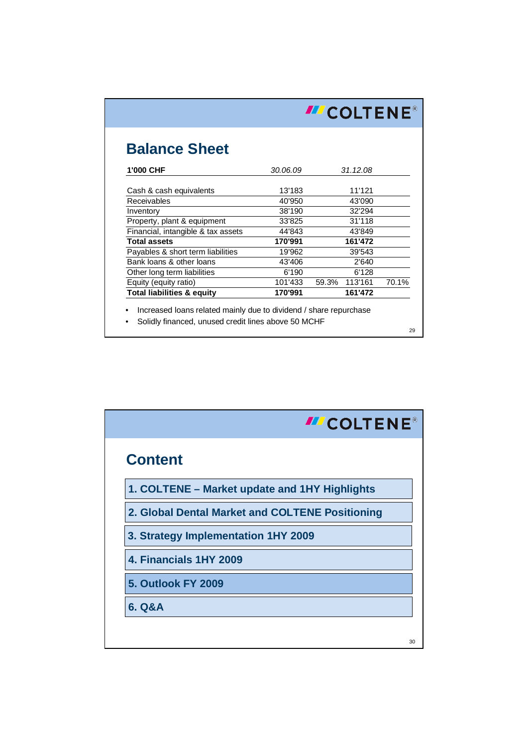|                                       | <b>III COLTENE®</b> |                  |       |  |  |
|---------------------------------------|---------------------|------------------|-------|--|--|
| <b>Balance Sheet</b>                  |                     |                  |       |  |  |
| 1'000 CHF                             | 30.06.09            | 31.12.08         |       |  |  |
| Cash & cash equivalents               | 13'183              | 11'121           |       |  |  |
| Receivables                           | 40'950              | 43'090           |       |  |  |
| Inventory                             | 38'190              | 32'294           |       |  |  |
| Property, plant & equipment           | 33'825              | 31'118           |       |  |  |
| Financial, intangible & tax assets    | 44'843              | 43'849           |       |  |  |
| <b>Total assets</b>                   | 170'991             | 161'472          |       |  |  |
| Payables & short term liabilities     | 19'962              | 39'543           |       |  |  |
| Bank loans & other loans              | 43'406              | 2'640            |       |  |  |
| Other long term liabilities           | 6'190               | 6'128            |       |  |  |
| Equity (equity ratio)                 | 101'433             | 59.3%<br>113'161 | 70.1% |  |  |
| <b>Total liabilities &amp; equity</b> | 170'991             | 161'472          |       |  |  |

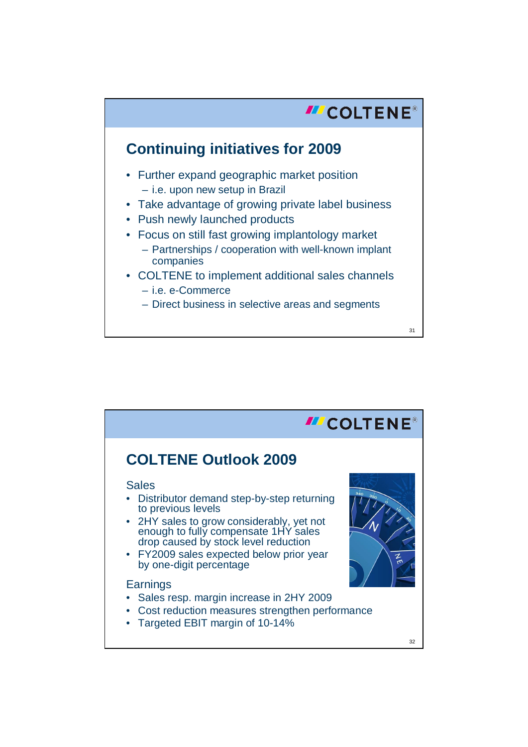